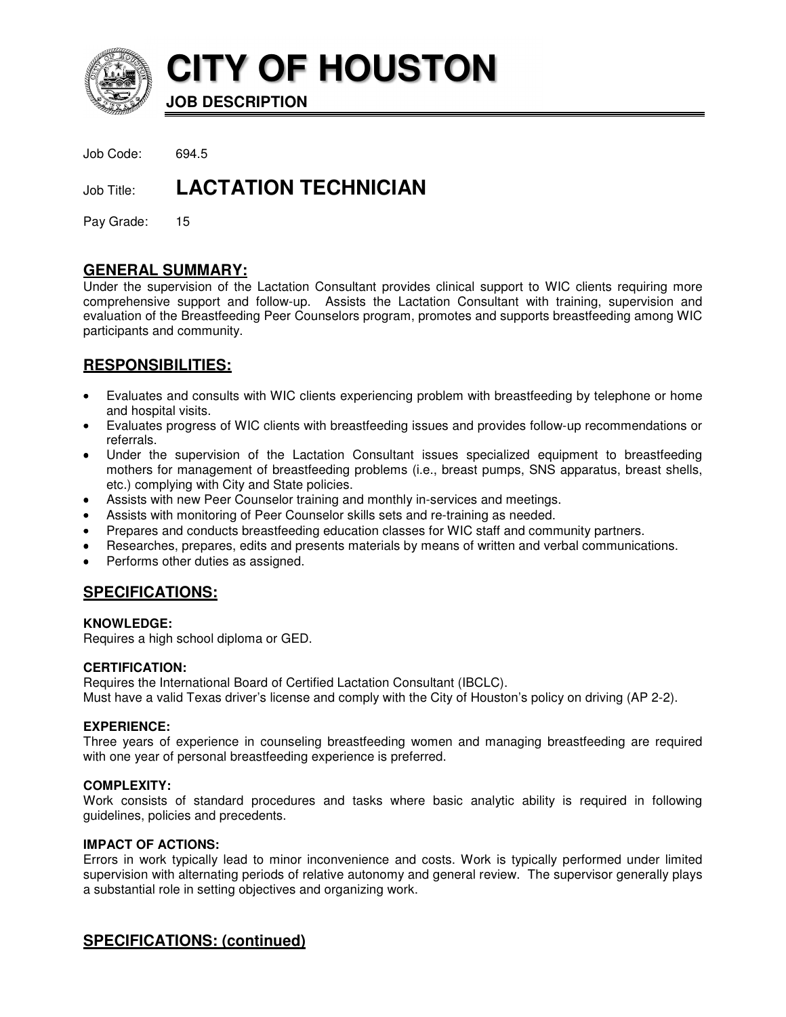

**CITY OF HOUSTON**

**JOB DESCRIPTION** 

Job Code: 694.5

# **Job Title: LACTATION TECHNICIAN**

Pay Grade: 15

# **GENERAL SUMMARY:**

Under the supervision of the Lactation Consultant provides clinical support to WIC clients requiring more comprehensive support and follow-up. Assists the Lactation Consultant with training, supervision and evaluation of the Breastfeeding Peer Counselors program, promotes and supports breastfeeding among WIC participants and community.

# **RESPONSIBILITIES:**

- Evaluates and consults with WIC clients experiencing problem with breastfeeding by telephone or home and hospital visits.
- Evaluates progress of WIC clients with breastfeeding issues and provides follow-up recommendations or referrals.
- Under the supervision of the Lactation Consultant issues specialized equipment to breastfeeding mothers for management of breastfeeding problems (i.e., breast pumps, SNS apparatus, breast shells, etc.) complying with City and State policies.
- Assists with new Peer Counselor training and monthly in-services and meetings.
- Assists with monitoring of Peer Counselor skills sets and re-training as needed.
- Prepares and conducts breastfeeding education classes for WIC staff and community partners.
- Researches, prepares, edits and presents materials by means of written and verbal communications.
- Performs other duties as assigned.

### **SPECIFICATIONS:**

**KNOWLEDGE:** 

Requires a high school diploma or GED.

#### **CERTIFICATION:**

Requires the International Board of Certified Lactation Consultant (IBCLC). Must have a valid Texas driver's license and comply with the City of Houston's policy on driving (AP 2-2).

#### **EXPERIENCE:**

Three years of experience in counseling breastfeeding women and managing breastfeeding are required with one year of personal breastfeeding experience is preferred.

#### **COMPLEXITY:**

Work consists of standard procedures and tasks where basic analytic ability is required in following guidelines, policies and precedents.

#### **IMPACT OF ACTIONS:**

Errors in work typically lead to minor inconvenience and costs. Work is typically performed under limited supervision with alternating periods of relative autonomy and general review. The supervisor generally plays a substantial role in setting objectives and organizing work.

### **SPECIFICATIONS: (continued)**